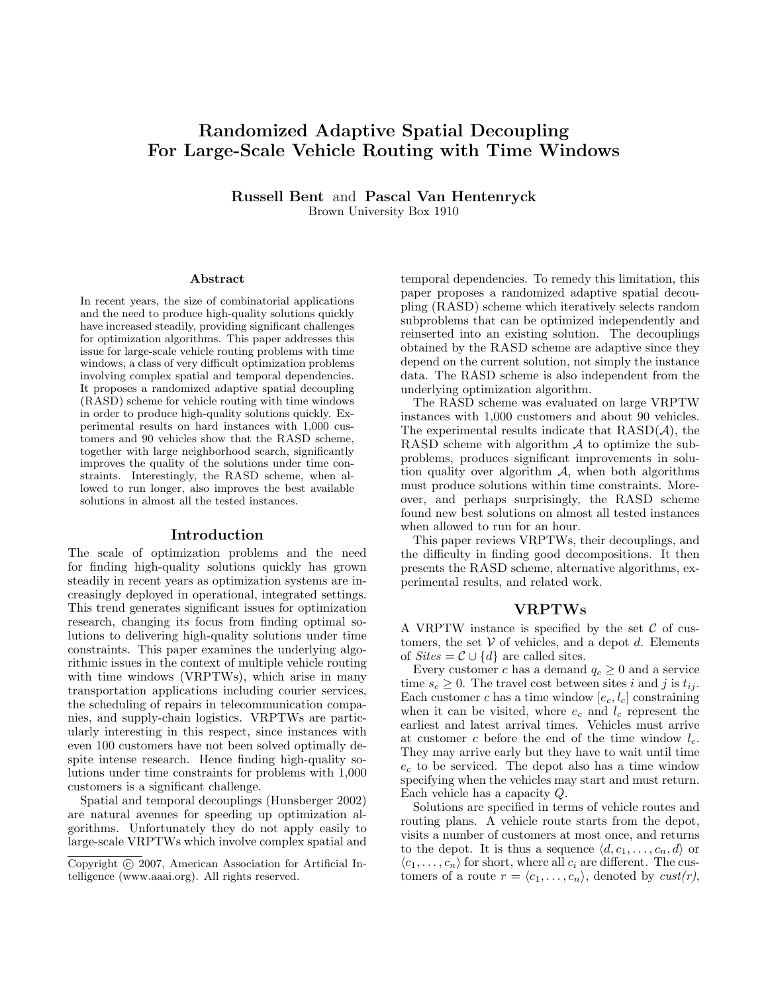# Randomized Adaptive Spatial Decoupling For Large-Scale Vehicle Routing with Time Windows

Russell Bent and Pascal Van Hentenryck Brown University Box 1910

#### Abstract

In recent years, the size of combinatorial applications and the need to produce high-quality solutions quickly have increased steadily, providing significant challenges for optimization algorithms. This paper addresses this issue for large-scale vehicle routing problems with time windows, a class of very difficult optimization problems involving complex spatial and temporal dependencies. It proposes a randomized adaptive spatial decoupling (RASD) scheme for vehicle routing with time windows in order to produce high-quality solutions quickly. Experimental results on hard instances with 1,000 customers and 90 vehicles show that the RASD scheme, together with large neighborhood search, significantly improves the quality of the solutions under time constraints. Interestingly, the RASD scheme, when allowed to run longer, also improves the best available solutions in almost all the tested instances.

#### Introduction

The scale of optimization problems and the need for finding high-quality solutions quickly has grown steadily in recent years as optimization systems are increasingly deployed in operational, integrated settings. This trend generates significant issues for optimization research, changing its focus from finding optimal solutions to delivering high-quality solutions under time constraints. This paper examines the underlying algorithmic issues in the context of multiple vehicle routing with time windows (VRPTWs), which arise in many transportation applications including courier services, the scheduling of repairs in telecommunication companies, and supply-chain logistics. VRPTWs are particularly interesting in this respect, since instances with even 100 customers have not been solved optimally despite intense research. Hence finding high-quality solutions under time constraints for problems with 1,000 customers is a significant challenge.

Spatial and temporal decouplings (Hunsberger 2002) are natural avenues for speeding up optimization algorithms. Unfortunately they do not apply easily to large-scale VRPTWs which involve complex spatial and

temporal dependencies. To remedy this limitation, this paper proposes a randomized adaptive spatial decoupling (RASD) scheme which iteratively selects random subproblems that can be optimized independently and reinserted into an existing solution. The decouplings obtained by the RASD scheme are adaptive since they depend on the current solution, not simply the instance data. The RASD scheme is also independent from the underlying optimization algorithm.

The RASD scheme was evaluated on large VRPTW instances with 1,000 customers and about 90 vehicles. The experimental results indicate that  $RASD(\mathcal{A})$ , the RASD scheme with algorithm  $A$  to optimize the subproblems, produces significant improvements in solution quality over algorithm  $\mathcal{A}$ , when both algorithms must produce solutions within time constraints. Moreover, and perhaps surprisingly, the RASD scheme found new best solutions on almost all tested instances when allowed to run for an hour.

This paper reviews VRPTWs, their decouplings, and the difficulty in finding good decompositions. It then presents the RASD scheme, alternative algorithms, experimental results, and related work.

#### VRPTWs

A VRPTW instance is specified by the set  $\mathcal C$  of customers, the set  $V$  of vehicles, and a depot d. Elements of  $\textit{Sites} = \mathcal{C} \cup \{d\}$  are called sites.

Every customer c has a demand  $q_c \geq 0$  and a service time  $s_c \geq 0$ . The travel cost between sites i and j is  $t_{ij}$ . Each customer c has a time window  $[e_c, l_c]$  constraining when it can be visited, where  $e_c$  and  $l_c$  represent the earliest and latest arrival times. Vehicles must arrive at customer c before the end of the time window  $l_c$ . They may arrive early but they have to wait until time  $e_c$  to be serviced. The depot also has a time window specifying when the vehicles may start and must return. Each vehicle has a capacity Q.

Solutions are specified in terms of vehicle routes and routing plans. A vehicle route starts from the depot, visits a number of customers at most once, and returns to the depot. It is thus a sequence  $\langle d, c_1, \ldots, c_n, d \rangle$  or  $\langle c_1, \ldots, c_n \rangle$  for short, where all  $c_i$  are different. The customers of a route  $r = \langle c_1, \ldots, c_n \rangle$ , denoted by  $\text{cust}(r)$ ,

Copyright (c) 2007, American Association for Artificial Intelligence (www.aaai.org). All rights reserved.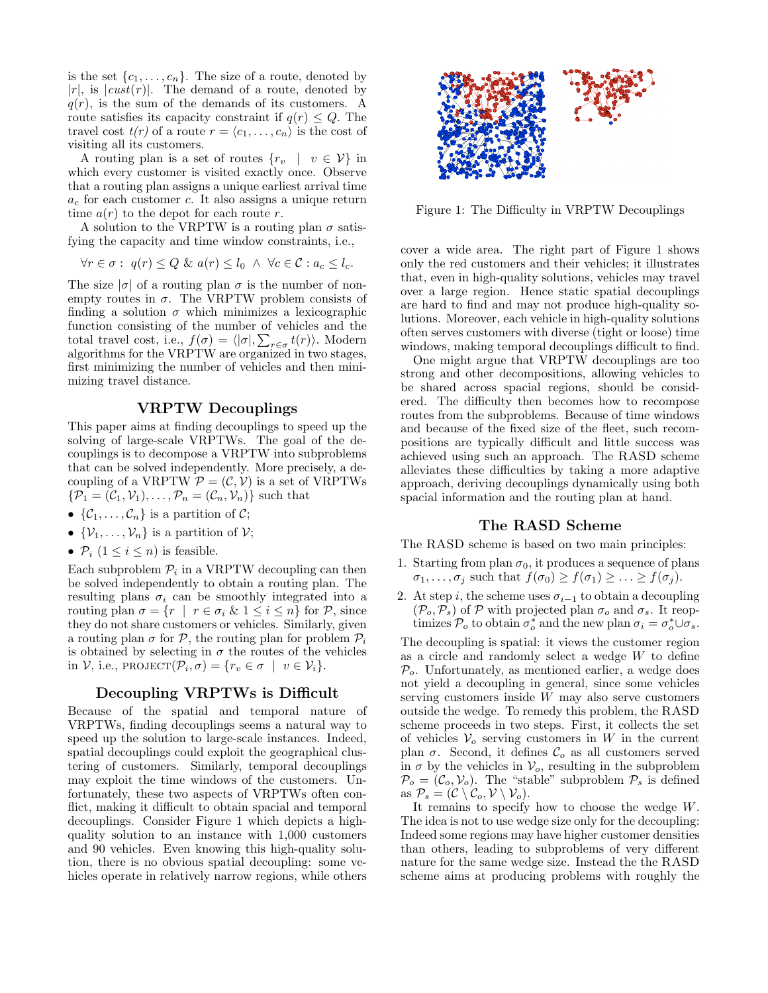is the set  $\{c_1, \ldots, c_n\}$ . The size of a route, denoted by  $|r|$ , is  $|cust(r)|$ . The demand of a route, denoted by  $q(r)$ , is the sum of the demands of its customers. A route satisfies its capacity constraint if  $q(r) \leq Q$ . The travel cost  $t(r)$  of a route  $r = \langle c_1, \ldots, c_n \rangle$  is the cost of visiting all its customers.

A routing plan is a set of routes  $\{r_v \mid v \in V\}$  in which every customer is visited exactly once. Observe that a routing plan assigns a unique earliest arrival time  $a_c$  for each customer c. It also assigns a unique return time  $a(r)$  to the depot for each route r.

A solution to the VRPTW is a routing plan  $\sigma$  satisfying the capacity and time window constraints, i.e.,

$$
\forall r \in \sigma : q(r) \le Q \& a(r) \le l_0 \land \forall c \in \mathcal{C} : a_c \le l_c.
$$

The size  $|\sigma|$  of a routing plan  $\sigma$  is the number of nonempty routes in  $\sigma$ . The VRPTW problem consists of finding a solution  $\sigma$  which minimizes a lexicographic function consisting of the number of vehicles and the total travel cost, i.e.,  $f(\sigma) = \langle |\sigma|, \sum_{r \in \sigma} t(r) \rangle$ . Modern algorithms for the VRPTW are organized in two stages, first minimizing the number of vehicles and then minimizing travel distance.

## VRPTW Decouplings

This paper aims at finding decouplings to speed up the solving of large-scale VRPTWs. The goal of the decouplings is to decompose a VRPTW into subproblems that can be solved independently. More precisely, a decoupling of a VRPTW  $P = (\mathcal{C}, \mathcal{V})$  is a set of VRPTWs  $\{\mathcal{P}_1 = (\mathcal{C}_1, \mathcal{V}_1), \ldots, \mathcal{P}_n = (\mathcal{C}_n, \mathcal{V}_n)\}\$  such that

- $\{\mathcal{C}_1,\ldots,\mathcal{C}_n\}$  is a partition of  $\mathcal{C}$ ;
- $\{\mathcal{V}_1,\ldots,\mathcal{V}_n\}$  is a partition of  $\mathcal{V}$ ;
- $P_i$   $(1 \leq i \leq n)$  is feasible.

Each subproblem  $P_i$  in a VRPTW decoupling can then be solved independently to obtain a routing plan. The resulting plans  $\sigma_i$  can be smoothly integrated into a routing plan  $\sigma = \{r \mid r \in \sigma_i \& 1 \leq i \leq n\}$  for  $P$ , since they do not share customers or vehicles. Similarly, given a routing plan  $\sigma$  for P, the routing plan for problem  $P_i$ is obtained by selecting in  $\sigma$  the routes of the vehicles in  $\mathcal{V}$ , i.e., PROJECT $(\mathcal{P}_i, \sigma) = \{r_v \in \sigma \mid v \in \mathcal{V}_i\}.$ 

## Decoupling VRPTWs is Difficult

Because of the spatial and temporal nature of VRPTWs, finding decouplings seems a natural way to speed up the solution to large-scale instances. Indeed, spatial decouplings could exploit the geographical clustering of customers. Similarly, temporal decouplings may exploit the time windows of the customers. Unfortunately, these two aspects of VRPTWs often conflict, making it difficult to obtain spacial and temporal decouplings. Consider Figure 1 which depicts a highquality solution to an instance with 1,000 customers and 90 vehicles. Even knowing this high-quality solution, there is no obvious spatial decoupling: some vehicles operate in relatively narrow regions, while others



Figure 1: The Difficulty in VRPTW Decouplings

cover a wide area. The right part of Figure 1 shows only the red customers and their vehicles; it illustrates that, even in high-quality solutions, vehicles may travel over a large region. Hence static spatial decouplings are hard to find and may not produce high-quality solutions. Moreover, each vehicle in high-quality solutions often serves customers with diverse (tight or loose) time windows, making temporal decouplings difficult to find.

One might argue that VRPTW decouplings are too strong and other decompositions, allowing vehicles to be shared across spacial regions, should be considered. The difficulty then becomes how to recompose routes from the subproblems. Because of time windows and because of the fixed size of the fleet, such recompositions are typically difficult and little success was achieved using such an approach. The RASD scheme alleviates these difficulties by taking a more adaptive approach, deriving decouplings dynamically using both spacial information and the routing plan at hand.

#### The RASD Scheme

The RASD scheme is based on two main principles:

- 1. Starting from plan  $\sigma_0$ , it produces a sequence of plans  $\sigma_1, \ldots, \sigma_j$  such that  $f(\sigma_0) \geq f(\sigma_1) \geq \ldots \geq f(\sigma_j)$ .
- 2. At step i, the scheme uses  $\sigma_{i-1}$  to obtain a decoupling  $(\mathcal{P}_o, \mathcal{P}_s)$  of P with projected plan  $\sigma_o$  and  $\sigma_s$ . It reoptimizes  $\mathcal{P}_o$  to obtain  $\sigma_o^*$  and the new plan  $\sigma_i = \sigma_o^* \cup \sigma_s$ .

The decoupling is spatial: it views the customer region as a circle and randomly select a wedge  $W$  to define  $P<sub>o</sub>$ . Unfortunately, as mentioned earlier, a wedge does not yield a decoupling in general, since some vehicles serving customers inside W may also serve customers outside the wedge. To remedy this problem, the RASD scheme proceeds in two steps. First, it collects the set of vehicles  $V_o$  serving customers in W in the current plan  $\sigma$ . Second, it defines  $\mathcal{C}_o$  as all customers served in  $\sigma$  by the vehicles in  $\mathcal{V}_o$ , resulting in the subproblem  $\mathcal{P}_o = (\mathcal{C}_o, \mathcal{V}_o)$ . The "stable" subproblem  $\mathcal{P}_s$  is defined as  $\mathcal{P}_s = (\mathcal{C} \setminus \mathcal{C}_o, \mathcal{V} \setminus \mathcal{V}_o).$ 

It remains to specify how to choose the wedge W. The idea is not to use wedge size only for the decoupling: Indeed some regions may have higher customer densities than others, leading to subproblems of very different nature for the same wedge size. Instead the the RASD scheme aims at producing problems with roughly the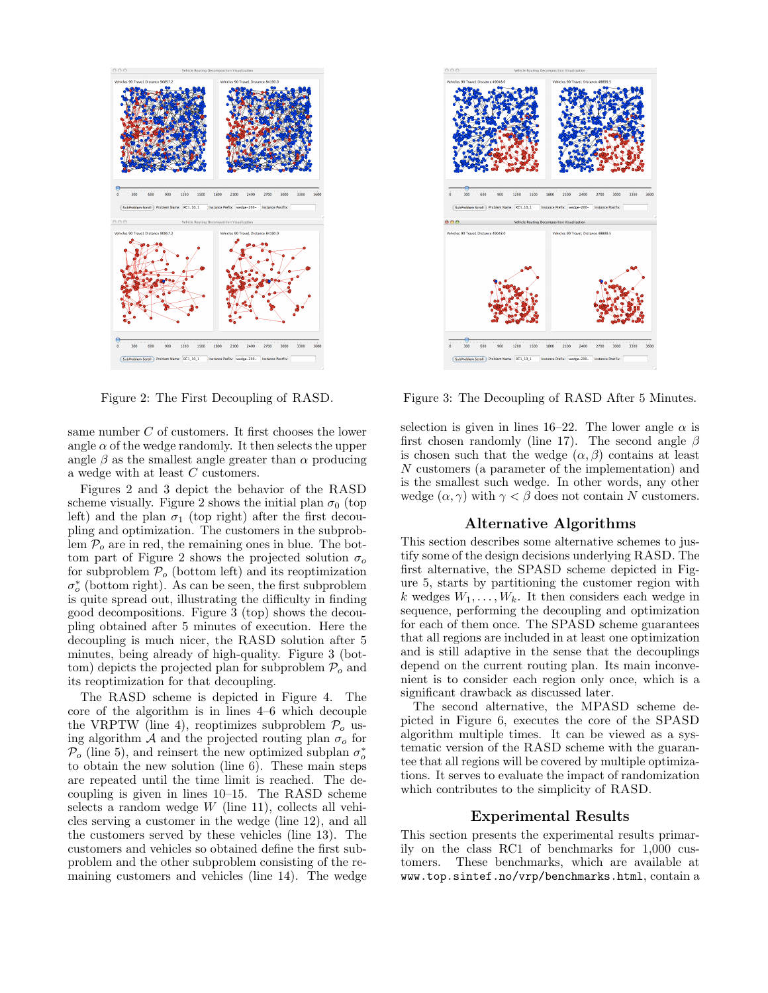

Figure 2: The First Decoupling of RASD.

same number C of customers. It first chooses the lower angle  $\alpha$  of the wedge randomly. It then selects the upper angle  $\beta$  as the smallest angle greater than  $\alpha$  producing a wedge with at least C customers.

Figures 2 and 3 depict the behavior of the RASD scheme visually. Figure 2 shows the initial plan  $\sigma_0$  (top left) and the plan  $\sigma_1$  (top right) after the first decoupling and optimization. The customers in the subproblem  $P<sub>o</sub>$  are in red, the remaining ones in blue. The bottom part of Figure 2 shows the projected solution  $\sigma_o$ for subproblem  $P<sub>o</sub>$  (bottom left) and its reoptimization  $\sigma_o^*$  (bottom right). As can be seen, the first subproblem is quite spread out, illustrating the difficulty in finding good decompositions. Figure 3 (top) shows the decoupling obtained after 5 minutes of execution. Here the decoupling is much nicer, the RASD solution after 5 minutes, being already of high-quality. Figure 3 (bottom) depicts the projected plan for subproblem  $P<sub>o</sub>$  and its reoptimization for that decoupling.

The RASD scheme is depicted in Figure 4. The core of the algorithm is in lines 4–6 which decouple the VRPTW (line 4), reoptimizes subproblem  $P<sub>o</sub>$  using algorithm A and the projected routing plan  $\sigma_o$  for  $\overline{P_o}$  (line 5), and reinsert the new optimized subplan  $\sigma_o^*$ to obtain the new solution (line 6). These main steps are repeated until the time limit is reached. The decoupling is given in lines 10–15. The RASD scheme selects a random wedge  $W$  (line 11), collects all vehicles serving a customer in the wedge (line 12), and all the customers served by these vehicles (line 13). The customers and vehicles so obtained define the first subproblem and the other subproblem consisting of the remaining customers and vehicles (line 14). The wedge



Figure 3: The Decoupling of RASD After 5 Minutes.

selection is given in lines 16–22. The lower angle  $\alpha$  is first chosen randomly (line 17). The second angle  $\beta$ is chosen such that the wedge  $(\alpha, \beta)$  contains at least N customers (a parameter of the implementation) and is the smallest such wedge. In other words, any other wedge  $(\alpha, \gamma)$  with  $\gamma < \beta$  does not contain N customers.

### Alternative Algorithms

This section describes some alternative schemes to justify some of the design decisions underlying RASD. The first alternative, the SPASD scheme depicted in Figure 5, starts by partitioning the customer region with k wedges  $W_1, \ldots, W_k$ . It then considers each wedge in sequence, performing the decoupling and optimization for each of them once. The SPASD scheme guarantees that all regions are included in at least one optimization and is still adaptive in the sense that the decouplings depend on the current routing plan. Its main inconvenient is to consider each region only once, which is a significant drawback as discussed later.

The second alternative, the MPASD scheme depicted in Figure 6, executes the core of the SPASD algorithm multiple times. It can be viewed as a systematic version of the RASD scheme with the guarantee that all regions will be covered by multiple optimizations. It serves to evaluate the impact of randomization which contributes to the simplicity of RASD.

#### Experimental Results

This section presents the experimental results primarily on the class RC1 of benchmarks for 1,000 customers. These benchmarks, which are available at www.top.sintef.no/vrp/benchmarks.html, contain a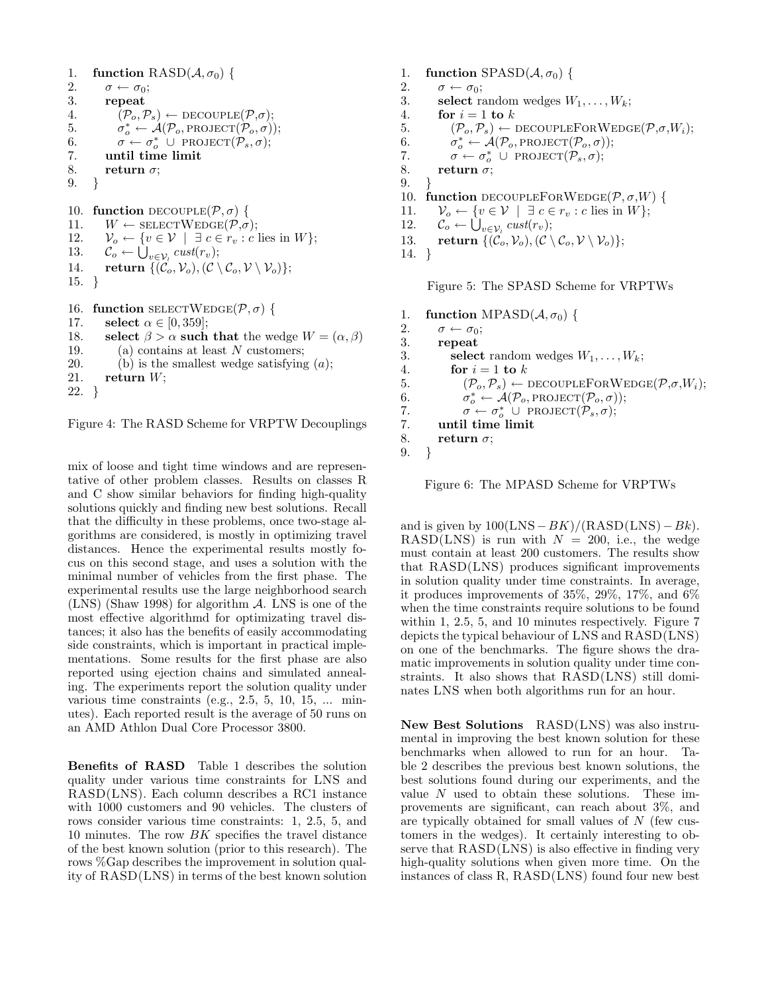```
1. function RASD(A, \sigma_0) {<br>2. \sigma \leftarrow \sigma_0;
2. \sigma \leftarrow \sigma_0;<br>3. repeat
            3. repeat
4. (\mathcal{P}_o, \mathcal{P}_s) \leftarrow \text{DECOUPLE}(\mathcal{P}, \sigma);5. σ
                   \overset{*}{\vphantom{\phi}}_o \leftarrow \overset{\circ}{\mathcal{A}}(\mathcal{P}_o, \text{PROJECT}(\overset{\circ}{\mathcal{P}}_o, \overset{\circ}{\sigma}));6. \sigma \leftarrow \sigma_o^* \cup \text{PROJECT}(\mathcal{P}_s, \sigma);7. until time limit
8. return \sigma;
9. }
10. function DECOUPLE(\mathcal{P}, \sigma) {
11. W \leftarrow \text{SELECTWeb}(P, \sigma);12. \mathcal{V}_o \leftarrow \{v \in \mathcal{V} \mid \exists c \in r_v : c \text{ lies in } W \};13. \mathcal{C}_o \leftarrow \bigcup_{v \in \mathcal{V}_i} \text{cust}(r_v);14. return \{(\mathcal{C}_o, \mathcal{V}_o),(\mathcal{C} \setminus \mathcal{C}_o, \mathcal{V} \setminus \mathcal{V}_o)\};15. }
16. function \text{SELECTWEDGE}(\mathcal{P}, \sigma) {
17. select \alpha \in [0, 359];
18. select \beta > \alpha such that the wedge W = (\alpha, \beta)19. (a) contains at least N customers;
20. (b) is the smallest wedge satisfying (a);
```

```
21. return W;
```
22. }

Figure 4: The RASD Scheme for VRPTW Decouplings

mix of loose and tight time windows and are representative of other problem classes. Results on classes R and C show similar behaviors for finding high-quality solutions quickly and finding new best solutions. Recall that the difficulty in these problems, once two-stage algorithms are considered, is mostly in optimizing travel distances. Hence the experimental results mostly focus on this second stage, and uses a solution with the minimal number of vehicles from the first phase. The experimental results use the large neighborhood search (LNS) (Shaw 1998) for algorithm A. LNS is one of the most effective algorithmd for optimizating travel distances; it also has the benefits of easily accommodating side constraints, which is important in practical implementations. Some results for the first phase are also reported using ejection chains and simulated annealing. The experiments report the solution quality under various time constraints (e.g.,  $2.5, 5, 10, 15, \ldots$  minutes). Each reported result is the average of 50 runs on an AMD Athlon Dual Core Processor 3800.

Benefits of RASD Table 1 describes the solution quality under various time constraints for LNS and RASD(LNS). Each column describes a RC1 instance with 1000 customers and 90 vehicles. The clusters of rows consider various time constraints: 1, 2.5, 5, and 10 minutes. The row  $BK$  specifies the travel distance of the best known solution (prior to this research). The rows %Gap describes the improvement in solution quality of RASD(LNS) in terms of the best known solution

```
1. function SPASD(\mathcal{A}, \sigma_0) {<br>2. \sigma \leftarrow \sigma_0:
2. \sigma \leftarrow \sigma_0;<br>3. select ra
             select random wedges W_1, \ldots, W_k;
4. for i = 1 to k
5. (\mathcal{P}_o, \mathcal{P}_s) \leftarrow \text{DECOUPLEFORWEDGE}(\mathcal{P}, \sigma, W_i);6. \sigma_o^* \leftarrow \mathcal{A}(\mathcal{P}_o, \text{PROJECT}(\mathcal{P}_o, \sigma));7. \sigma \leftarrow \sigma_o^* \cup \text{PROJECT}(\mathcal{P}_s, \sigma);8. return \sigma;
9. }
10. function DECOUPLEFORWEDGE(\mathcal{P}, \sigma, W) {
11. \mathcal{V}_o \leftarrow \{v \in \mathcal{V} \mid \exists c \in r_v : c \text{ lies in } W\};12. \mathcal{C}_o \leftarrow \bigcup_{v \in \mathcal{V}_i} \text{cust}(r_v);13. return \{(\mathcal{C}_o, \mathcal{V}_o),(\mathcal{C} \setminus \mathcal{C}_o, \mathcal{V} \setminus \mathcal{V}_o)\};14. }
```
Figure 5: The SPASD Scheme for VRPTWs

```
1. function MPASD(A, \sigma_0) {<br>2. \sigma \leftarrow \sigma_0;
2. \sigma \leftarrow \sigma_0;<br>3. repeat
            3. repeat
3. select random wedges W_1, \ldots, W_k;
4. for i = 1 to k
5. (\mathcal{P}_o, \mathcal{P}_s) \leftarrow \text{DECOUPLEFORWEDGE}(\mathcal{P}, \sigma, W_i);<br>6. \sigma^* \leftarrow \mathcal{A}(\mathcal{P}_o, \text{PROJECT}(\mathcal{P}_o, \sigma));6. \sigma_o^* \leftarrow \mathcal{A}(\mathcal{P}_o, \text{PROJECT}(\mathcal{P}_o, \sigma));7. \sigma \leftarrow \sigma_o^* U PROJECT(\mathcal{P}_s, \sigma);7. until time limit
8. return \sigma;
9. }
```
Figure 6: The MPASD Scheme for VRPTWs

and is given by  $100(LNS-BK)/(RASD(LNS)-Bk)$ . RASD(LNS) is run with  $N = 200$ , i.e., the wedge must contain at least 200 customers. The results show that RASD(LNS) produces significant improvements in solution quality under time constraints. In average, it produces improvements of 35%, 29%, 17%, and 6% when the time constraints require solutions to be found within 1, 2.5, 5, and 10 minutes respectively. Figure 7 depicts the typical behaviour of LNS and RASD(LNS) on one of the benchmarks. The figure shows the dramatic improvements in solution quality under time constraints. It also shows that RASD(LNS) still dominates LNS when both algorithms run for an hour.

New Best Solutions RASD(LNS) was also instrumental in improving the best known solution for these benchmarks when allowed to run for an hour. Table 2 describes the previous best known solutions, the best solutions found during our experiments, and the value  $N$  used to obtain these solutions. These improvements are significant, can reach about 3%, and are typically obtained for small values of N (few customers in the wedges). It certainly interesting to observe that RASD(LNS) is also effective in finding very high-quality solutions when given more time. On the instances of class R, RASD(LNS) found four new best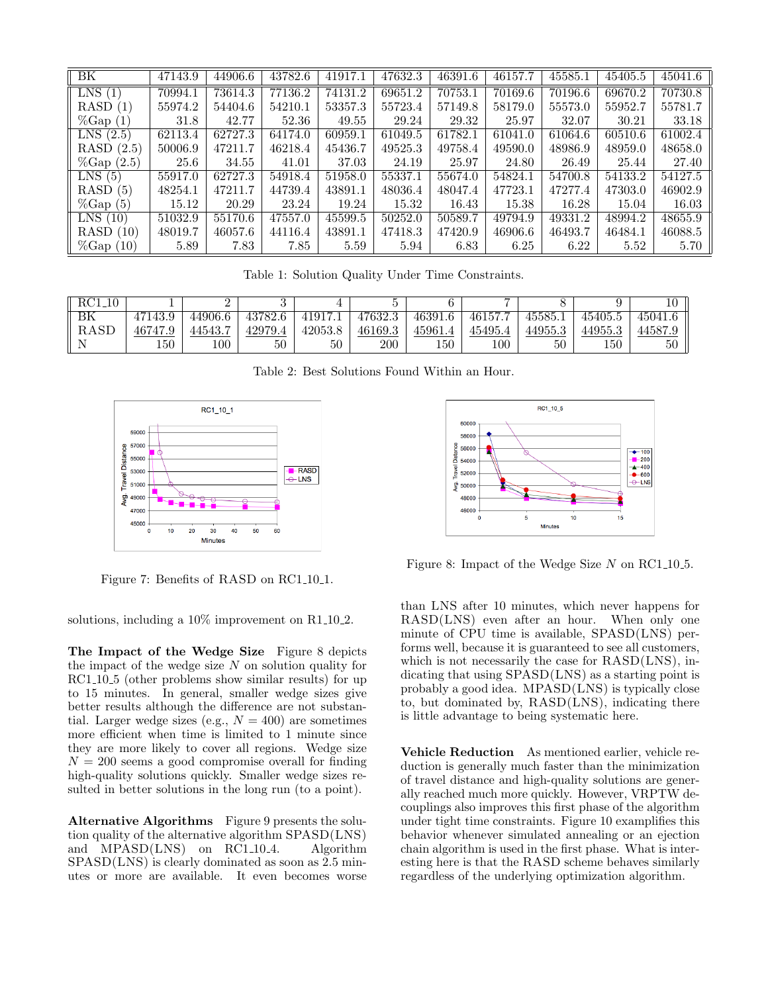| $\overline{\rm BK}$           | 47143.9 | 44906.6 | 43782.6 | 41917.1 | 47632.3 | 46391.6 | 46157.7 | 45585.1 | 45405.5 | 45041.6 |
|-------------------------------|---------|---------|---------|---------|---------|---------|---------|---------|---------|---------|
| LNS(1)                        | 70994.1 | 73614.3 | 77136.2 | 74131.2 | 69651.2 | 70753.1 | 70169.6 | 70196.6 | 69670.2 | 70730.8 |
| RASD(1)                       | 55974.2 | 54404.6 | 54210.1 | 53357.3 | 55723.4 | 57149.8 | 58179.0 | 55573.0 | 55952.7 | 55781.7 |
| $\%$ Gap $(1)$                | 31.8    | 42.77   | 52.36   | 49.55   | 29.24   | 29.32   | 25.97   | 32.07   | 30.21   | 33.18   |
| LNS(2.5)                      | 62113.4 | 62727.3 | 64174.0 | 60959.1 | 61049.5 | 61782.1 | 61041.0 | 61064.6 | 60510.6 | 61002.4 |
| RASD(2.5)                     | 50006.9 | 47211.7 | 46218.4 | 45436.7 | 49525.3 | 49758.4 | 49590.0 | 48986.9 | 48959.0 | 48658.0 |
| $\%$ Gap $(2.5)$              | 25.6    | 34.55   | 41.01   | 37.03   | 24.19   | 25.97   | 24.80   | 26.49   | 25.44   | 27.40   |
| LNS(5)                        | 55917.0 | 62727.3 | 54918.4 | 51958.0 | 55337.1 | 55674.0 | 54824.1 | 54700.8 | 54133.2 | 54127.5 |
| RASD(5)                       | 48254.1 | 47211.7 | 44739.4 | 43891.1 | 48036.4 | 48047.4 | 47723.1 | 47277.4 | 47303.0 | 46902.9 |
| $\%$ Gap $(5)$                | 15.12   | 20.29   | 23.24   | 19.24   | 15.32   | 16.43   | 15.38   | 16.28   | 15.04   | 16.03   |
| LNS(10)                       | 51032.9 | 55170.6 | 47557.0 | 45599.5 | 50252.0 | 50589.7 | 49794.9 | 49331.2 | 48994.2 | 48655.9 |
| <b>RASD</b><br>(10)           | 48019.7 | 46057.6 | 44116.4 | 43891.1 | 47418.3 | 47420.9 | 46906.6 | 46493.7 | 46484.1 | 46088.5 |
| $\%$ Gap<br>$\left(10\right)$ | 5.89    | 7.83    | 7.85    | 5.59    | 5.94    | 6.83    | 6.25    | 6.22    | 5.52    | 5.70    |

Table 1: Solution Quality Under Time Constraints.

| RC1<br>10   |         | ∸       |         |         |         |         |         |         |         |         |
|-------------|---------|---------|---------|---------|---------|---------|---------|---------|---------|---------|
| ΒK          | 47143.9 | 44906.6 | 43782.6 | 41917.1 | 47632.3 | 46391.6 | 46157.7 | 45585.  | 45405.5 | 45041.6 |
| <b>RASD</b> | 46747.9 | 44543.  | 42979.4 | 42053.8 | 46169.3 | 45961.4 | 45495.4 | 44955.3 | 44955.3 | 44587.9 |
|             | 150     | 100     | 50      | 50      | 200     | 150     | 100     | 50      | 150     | 50      |

Table 2: Best Solutions Found Within an Hour.



Figure 7: Benefits of RASD on RC1.10.1.

solutions, including a  $10\%$  improvement on R1.10.2.

The Impact of the Wedge Size Figure 8 depicts the impact of the wedge size  $N$  on solution quality for RC1<sub>-10-5</sub> (other problems show similar results) for up to 15 minutes. In general, smaller wedge sizes give better results although the difference are not substantial. Larger wedge sizes (e.g.,  $N = 400$ ) are sometimes more efficient when time is limited to 1 minute since they are more likely to cover all regions. Wedge size  $N = 200$  seems a good compromise overall for finding high-quality solutions quickly. Smaller wedge sizes resulted in better solutions in the long run (to a point).

Alternative Algorithms Figure 9 presents the solution quality of the alternative algorithm SPASD(LNS) and MPASD(LNS) on RC1<sub>-10-4</sub>. Algorithm SPASD(LNS) is clearly dominated as soon as 2.5 minutes or more are available. It even becomes worse



Figure 8: Impact of the Wedge Size  $N$  on RC1.10.5.

than LNS after 10 minutes, which never happens for RASD(LNS) even after an hour. When only one minute of CPU time is available, SPASD(LNS) performs well, because it is guaranteed to see all customers, which is not necessarily the case for RASD(LNS), indicating that using SPASD(LNS) as a starting point is probably a good idea. MPASD(LNS) is typically close to, but dominated by, RASD(LNS), indicating there is little advantage to being systematic here.

Vehicle Reduction As mentioned earlier, vehicle reduction is generally much faster than the minimization of travel distance and high-quality solutions are generally reached much more quickly. However, VRPTW decouplings also improves this first phase of the algorithm under tight time constraints. Figure 10 examplifies this behavior whenever simulated annealing or an ejection chain algorithm is used in the first phase. What is interesting here is that the RASD scheme behaves similarly regardless of the underlying optimization algorithm.